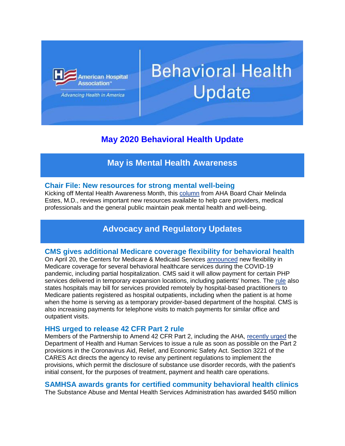

**Advancing Health in America** 

# **Behavioral Health** Update

# **May 2020 Behavioral Health Update**

# **May is Mental Health Awareness**

## **Chair File: New resources for strong mental well-being**

Kicking off Mental Health Awareness Month, this [column](https://nam03.safelinks.protection.outlook.com/?url=http:%2F%2Fwww.mmsend33.com%2Flink.cfm%3Fr%3DcrNPscIZgOQDue3icdjAbg~~%26pe%3D3cn-i41v8PCSlZZ6xdlU6fYnUbjbCJxYZ9DsQoGdRFIFqKqvS0PwJH6NSKUdiDgiSqtOvkv1G9OgeAUZfwETdA~~%26t%3DGl2FJtKvphrwmLa5XBWHOA~~&data=02%7C01%7Crchickey%40aha.org%7C428f0926455f4fd7062208d7fcc742f9%7Cb9119340beb74e5e84b23cc18f7b36a6%7C0%7C0%7C637255805070505495&sdata=4ZQjnkNCSoMlxvBVTG6%2BzBxetINibXiskjRMwXqIh%2Fg%3D&reserved=0) from AHA Board Chair Melinda Estes, M.D., reviews important new resources available to help care providers, medical professionals and the general public maintain peak mental health and well-being.

# **Advocacy and Regulatory Updates**

#### **CMS gives additional Medicare coverage flexibility for behavioral health**

On April 20, the Centers for Medicare & Medicaid Services [announced](https://nam03.safelinks.protection.outlook.com/?url=http:%2F%2Fwww.mmsend33.com%2Flink.cfm%3Fr%3DcrNPscIZgOQDue3icdjAbg~~%26pe%3DzvYq6kZpCf2U-TOGT24yfRnGT20IDCpAOehPwykHqsjR4sOh8bvZHOienoygDlIfjacWmfQiXnQgiH4cA3YVIg~~%26t%3DGl2FJtKvphrwmLa5XBWHOA~~&data=02%7C01%7Crchickey%40aha.org%7C428f0926455f4fd7062208d7fcc742f9%7Cb9119340beb74e5e84b23cc18f7b36a6%7C0%7C0%7C637255805070505495&sdata=RwH2oFrIYUz%2FGiT1snidotrB%2FVPKm56NLkGc4ZFYgyo%3D&reserved=0) new flexibility in Medicare coverage for several behavioral healthcare services during the COVID-19 pandemic, including partial hospitalization. CMS said it will allow payment for certain PHP services delivered in temporary expansion locations, including patients' homes. The [rule](https://nam03.safelinks.protection.outlook.com/?url=http:%2F%2Fwww.mmsend33.com%2Flink.cfm%3Fr%3DcrNPscIZgOQDue3icdjAbg~~%26pe%3DZKVkEO2hQz-1tzMjItnUeXpEyIwoGXj6WSX_Ass0nWibVs87tSG93SqV2C1P7VyXiftCZe01aSjrCTWQ6blOUg~~%26t%3DGl2FJtKvphrwmLa5XBWHOA~~&data=02%7C01%7Crchickey%40aha.org%7C428f0926455f4fd7062208d7fcc742f9%7Cb9119340beb74e5e84b23cc18f7b36a6%7C0%7C0%7C637255805070515491&sdata=uy151lbMz1uvrQmT7Qn%2FxmQq%2FpyAY4BLjCe%2B%2B5Gm30M%3D&reserved=0) also states hospitals may bill for services provided remotely by hospital-based practitioners to Medicare patients registered as hospital outpatients, including when the patient is at home when the home is serving as a temporary provider-based department of the hospital. CMS is also increasing payments for telephone visits to match payments for similar office and outpatient visits.

#### **HHS urged to release 42 CFR Part 2 rule**

Members of the Partnership to Amend 42 CFR Part 2, including the AHA, [recently urged](https://nam03.safelinks.protection.outlook.com/?url=http:%2F%2Fwww.mmsend33.com%2Flink.cfm%3Fr%3DcrNPscIZgOQDue3icdjAbg~~%26pe%3DqAC_NuzvCcGRNP1lRPsuXT_wZGmUsR5l78JtMs4VKo1ZHK001o_ImhrZVZ6eC3GpneV4Rn2A1lDkvUZ8OQ26HQ~~%26t%3DGl2FJtKvphrwmLa5XBWHOA~~&data=02%7C01%7Crchickey%40aha.org%7C428f0926455f4fd7062208d7fcc742f9%7Cb9119340beb74e5e84b23cc18f7b36a6%7C0%7C0%7C637255805070515491&sdata=3p5A13AjLmbopXgwJy2L4A6oko23FTmBDdUQdgc0j0Q%3D&reserved=0) the Department of Health and Human Services to issue a rule as soon as possible on the Part 2 provisions in the Coronavirus Aid, Relief, and Economic Safety Act. Section 3221 of the CARES Act directs the agency to revise any pertinent regulations to implement the provisions, which permit the disclosure of substance use disorder records, with the patient's initial consent, for the purposes of treatment, payment and health care operations.

**SAMHSA awards grants for certified community behavioral health clinics** The Substance Abuse and Mental Health Services Administration has awarded \$450 million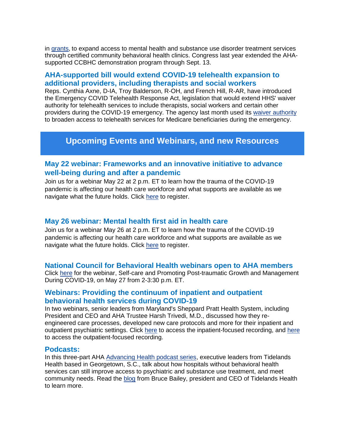in [grants,](https://nam03.safelinks.protection.outlook.com/?url=http:%2F%2Fwww.mmsend33.com%2Flink.cfm%3Fr%3DcrNPscIZgOQDue3icdjAbg~~%26pe%3DYNZ3kZLHRSFxhWIOOch9HYTPCI4b4f5JyYscil9wRtCpp_QtIoQGFPMvf-yO9saUBCPjorZYfj6Di66j6ojt-w~~%26t%3DGl2FJtKvphrwmLa5XBWHOA~~&data=02%7C01%7Crchickey%40aha.org%7C428f0926455f4fd7062208d7fcc742f9%7Cb9119340beb74e5e84b23cc18f7b36a6%7C0%7C0%7C637255805070525485&sdata=5WRA0vIOXRtRiVuwJG1OuYziJCxzj8pllOXk24vFC8A%3D&reserved=0) to expand access to mental health and substance use disorder treatment services through certified community behavioral health clinics. Congress last year extended the AHAsupported CCBHC demonstration program through Sept. 13.

## **AHA-supported bill would extend COVID-19 telehealth expansion to additional providers, including therapists and social workers**

Reps. Cynthia Axne, D-IA, Troy Balderson, R-OH, and French Hill, R-AR, have introduced the Emergency COVID Telehealth Response Act, legislation that would extend HHS' waiver authority for telehealth services to include therapists, social workers and certain other providers during the COVID-19 emergency. The agency last month used its [waiver authority](https://nam03.safelinks.protection.outlook.com/?url=http:%2F%2Fwww.mmsend33.com%2Flink.cfm%3Fr%3DcrNPscIZgOQDue3icdjAbg~~%26pe%3D5lvt9QKKwe-PhDd6saBwjmBplfONDXxKa3A_Tyz6S28T8f3tJpcrXwUcEFm9TgEgwkopv6-oQBbPnmNCKfOEFQ~~%26t%3DGl2FJtKvphrwmLa5XBWHOA~~&data=02%7C01%7Crchickey%40aha.org%7C428f0926455f4fd7062208d7fcc742f9%7Cb9119340beb74e5e84b23cc18f7b36a6%7C0%7C0%7C637255805070525485&sdata=fBBSKy%2BpH9yOqnRHn81kKqvH6EdRHv1ngxmTl15s7wE%3D&reserved=0) to broaden access to telehealth services for Medicare beneficiaries during the emergency.

# **Upcoming Events and Webinars, and new Resources**

## **May 22 webinar: Frameworks and an innovative initiative to advance well-being during and after a pandemic**

Join us for a webinar May 22 at 2 p.m. ET to learn how the trauma of the COVID-19 pandemic is affecting our health care workforce and what supports are available as we navigate what the future holds. Click [here](https://nam03.safelinks.protection.outlook.com/?url=http:%2F%2Fwww.mmsend33.com%2Flink.cfm%3Fr%3DcrNPscIZgOQDue3icdjAbg~~%26pe%3DH4eCJFA2Itts-oGnDd_F5HZMk9g4mhu3gG8YiXyQolg_cLmxCLE1c1UQkUivCGgileR49K5heZ6zgsU6TjM5ZA~~%26t%3DGl2FJtKvphrwmLa5XBWHOA~~&data=02%7C01%7Crchickey%40aha.org%7C428f0926455f4fd7062208d7fcc742f9%7Cb9119340beb74e5e84b23cc18f7b36a6%7C0%7C0%7C637255805070535476&sdata=Sds0Yt0bG1onLhrrgOCjL9qNLodSA8b%2FZV%2BGN%2F2DmvM%3D&reserved=0) to register.

#### **May 26 webinar: Mental health first aid in health care**

Join us for a webinar May 26 at 2 p.m. ET to learn how the trauma of the COVID-19 pandemic is affecting our health care workforce and what supports are available as we navigate what the future holds. Click [here](https://nam03.safelinks.protection.outlook.com/?url=http:%2F%2Fwww.mmsend33.com%2Flink.cfm%3Fr%3DcrNPscIZgOQDue3icdjAbg~~%26pe%3Dv53zoDn0iq8OPrtbH7Oal7fLt7VoZ5dKEqOfIFec9WJ97lC8hzHa345Zyl-sCkn93NI0hM2Y-taCmMye8k6hxw~~%26t%3DGl2FJtKvphrwmLa5XBWHOA~~&data=02%7C01%7Crchickey%40aha.org%7C428f0926455f4fd7062208d7fcc742f9%7Cb9119340beb74e5e84b23cc18f7b36a6%7C0%7C0%7C637255805070535476&sdata=FNCEuL5mWEt4M%2Bya76rJI4xGpYs%2FH%2FMcEoXePseg%2FX8%3D&reserved=0) to register.

#### **National Council for Behavioral Health webinars open to AHA members**

Click [here](https://nam03.safelinks.protection.outlook.com/?url=http:%2F%2Fwww.mmsend33.com%2Flink.cfm%3Fr%3DcrNPscIZgOQDue3icdjAbg~~%26pe%3DgsRpVfpfrLOrc07mFslHenzHWgprBp92wiryhEKvDTRJfjoulq3iYZ9e3X5WWMwiYZkmGjtQ0-cYEL-3JMT4yQ~~%26t%3DGl2FJtKvphrwmLa5XBWHOA~~&data=02%7C01%7Crchickey%40aha.org%7C428f0926455f4fd7062208d7fcc742f9%7Cb9119340beb74e5e84b23cc18f7b36a6%7C0%7C0%7C637255805070545471&sdata=lGdZ31y6RJaXWxIvXLDK5bdUWGHmBfCDV8qMPKfB2bg%3D&reserved=0) for the webinar, Self-care and Promoting Post-traumatic Growth and Management During COVID-19, on May 27 from 2-3:30 p.m. ET.

#### **Webinars: Providing the continuum of inpatient and outpatient behavioral health services during COVID-19**

In two webinars, senior leaders from Maryland's Sheppard Pratt Health System, including President and CEO and AHA Trustee Harsh Trivedi, M.D., discussed how they reengineered care processes, developed new care protocols and more for their inpatient and outpatient psychiatric settings. Click [here](https://nam03.safelinks.protection.outlook.com/?url=http:%2F%2Fwww.mmsend33.com%2Flink.cfm%3Fr%3DcrNPscIZgOQDue3icdjAbg~~%26pe%3DOpkp4ST88LVh3XSskSLPlgWyU1C2yOwjS36yBXVR_xvGQf89Km88ARdQjaYJw8vnP3EV5SRD3mSe9p8Ox6jsqg~~%26t%3DGl2FJtKvphrwmLa5XBWHOA~~&data=02%7C01%7Crchickey%40aha.org%7C428f0926455f4fd7062208d7fcc742f9%7Cb9119340beb74e5e84b23cc18f7b36a6%7C0%7C0%7C637255805070555465&sdata=6FO8Q%2FiBjZM9T6QQ6brgQlJteRtIvzkS0xhh58NAVGE%3D&reserved=0) to access the inpatient-focused recording, and here to access the outpatient-focused recording.

#### **Podcasts:**

In this three-part AHA [Advancing Health podcast series,](https://nam03.safelinks.protection.outlook.com/?url=http:%2F%2Fwww.mmsend33.com%2Flink.cfm%3Fr%3DcrNPscIZgOQDue3icdjAbg~~%26pe%3DLAH2jMpGiWXLFecvWQ49eiCX3yGsv2KSElSGUWPIhvp2n0t0BBKA6P20pm8RFLUxv1lRbhC3pMce24BckruuoQ~~%26t%3DGl2FJtKvphrwmLa5XBWHOA~~&data=02%7C01%7Crchickey%40aha.org%7C428f0926455f4fd7062208d7fcc742f9%7Cb9119340beb74e5e84b23cc18f7b36a6%7C0%7C0%7C637255805070555465&sdata=UTD0gKJzg15qtC0CQuDfFVYOjXzdEtZsWXfga6p0Q3M%3D&reserved=0) executive leaders from Tidelands Health based in Georgetown, S.C., talk about how hospitals without behavioral health services can still improve access to psychiatric and substance use treatment, and meet community needs. Read the [blog](https://nam03.safelinks.protection.outlook.com/?url=http:%2F%2Fwww.mmsend33.com%2Flink.cfm%3Fr%3DcrNPscIZgOQDue3icdjAbg~~%26pe%3D-Q_WHrNDjl4cYGhYZkixUcPeeTsxvI_mJIW5QdDAwyrcvV61gzFxeHC15ZtQ5lmqQvjFvR9rD3kUktMo_lk_EQ~~%26t%3DGl2FJtKvphrwmLa5XBWHOA~~&data=02%7C01%7Crchickey%40aha.org%7C428f0926455f4fd7062208d7fcc742f9%7Cb9119340beb74e5e84b23cc18f7b36a6%7C0%7C0%7C637255805070565460&sdata=5h61QXkpWPGp1FGztfXZi2TP7Q7%2F36oNvGV62C7boe0%3D&reserved=0) from Bruce Bailey, president and CEO of Tidelands Health to learn more.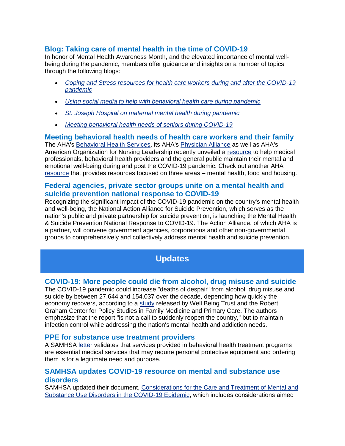## **Blog: Taking care of mental health in the time of COVID-19**

In honor of Mental Health Awareness Month, and the elevated importance of mental wellbeing during the pandemic, members offer guidance and insights on a number of topics through the following blogs:

- *[Coping and Stress resources for health care workers during and after the COVID-19](https://nam03.safelinks.protection.outlook.com/?url=http:%2F%2Fwww.mmsend33.com%2Flink.cfm%3Fr%3DcrNPscIZgOQDue3icdjAbg~~%26pe%3Dz4n6RgcHJmbAoqVRNWw7VPbPEgzHWC5LTOmsVVdtj_1CUnYY7BmNwF8VDQxLpyVNQmc7iaPCBflNHmBMn80cnw~~%26t%3DGl2FJtKvphrwmLa5XBWHOA~~&data=02%7C01%7Crchickey%40aha.org%7C428f0926455f4fd7062208d7fcc742f9%7Cb9119340beb74e5e84b23cc18f7b36a6%7C0%7C0%7C637255805070565460&sdata=CfV%2BcKzmScrkUlhoKkTeIcNyJiTMttDO%2BhUh85%2B290w%3D&reserved=0)  [pandemic](https://nam03.safelinks.protection.outlook.com/?url=http:%2F%2Fwww.mmsend33.com%2Flink.cfm%3Fr%3DcrNPscIZgOQDue3icdjAbg~~%26pe%3Dz4n6RgcHJmbAoqVRNWw7VPbPEgzHWC5LTOmsVVdtj_1CUnYY7BmNwF8VDQxLpyVNQmc7iaPCBflNHmBMn80cnw~~%26t%3DGl2FJtKvphrwmLa5XBWHOA~~&data=02%7C01%7Crchickey%40aha.org%7C428f0926455f4fd7062208d7fcc742f9%7Cb9119340beb74e5e84b23cc18f7b36a6%7C0%7C0%7C637255805070565460&sdata=CfV%2BcKzmScrkUlhoKkTeIcNyJiTMttDO%2BhUh85%2B290w%3D&reserved=0)*
- *[Using social media to help with behavioral health care during pandemic](https://nam03.safelinks.protection.outlook.com/?url=http:%2F%2Fwww.mmsend33.com%2Flink.cfm%3Fr%3DcrNPscIZgOQDue3icdjAbg~~%26pe%3DoptIcaraX9s8e_KNSBQCykq2Wd-fLvymq6gSKItZhWaCh4Wk6YwPhmaGyG50rUcCYI-cf-eXkWhRQpxRVYEGYw~~%26t%3DGl2FJtKvphrwmLa5XBWHOA~~&data=02%7C01%7Crchickey%40aha.org%7C428f0926455f4fd7062208d7fcc742f9%7Cb9119340beb74e5e84b23cc18f7b36a6%7C0%7C0%7C637255805070575453&sdata=k%2Bi4YLJY8CGEI9RuKiAxcCVieC7v9JA8lamXa0ASjSI%3D&reserved=0)*
- *[St. Joseph Hospital on maternal mental health during pandemic](https://nam03.safelinks.protection.outlook.com/?url=http:%2F%2Fwww.mmsend33.com%2Flink.cfm%3Fr%3DcrNPscIZgOQDue3icdjAbg~~%26pe%3DkMlqWnxpjGs8TBCW_G2kuTShegkKvMMROr7Hk-NQ7XFCfq69j4CdeYutQ9FB0bHc1i4NwDp-aqFbKVPWWFgzLg~~%26t%3DGl2FJtKvphrwmLa5XBWHOA~~&data=02%7C01%7Crchickey%40aha.org%7C428f0926455f4fd7062208d7fcc742f9%7Cb9119340beb74e5e84b23cc18f7b36a6%7C0%7C0%7C637255805070575453&sdata=xDKHObZ3zBzWPpwHV1vfUDN1INKkWYVkfaxRvSbt24U%3D&reserved=0)*
- *[Meeting behavioral health needs of seniors during COVID-19](https://nam03.safelinks.protection.outlook.com/?url=http:%2F%2Fwww.mmsend33.com%2Flink.cfm%3Fr%3DcrNPscIZgOQDue3icdjAbg~~%26pe%3D1i1Eklz9NEIOUgpBiWRYBwlDkWXWDySYeAY8iHoZdxtYHHA0hmjaNhC-YEoSpNriujf1OTJC8GmCz3JsYbepFA~~%26t%3DGl2FJtKvphrwmLa5XBWHOA~~&data=02%7C01%7Crchickey%40aha.org%7C428f0926455f4fd7062208d7fcc742f9%7Cb9119340beb74e5e84b23cc18f7b36a6%7C0%7C0%7C637255805070585453&sdata=lGzxxuuq%2FhNdl1nk%2B1A5GsuMZgj3h%2FCQG0IFht4H%2BjI%3D&reserved=0)*

# **Meeting behavioral health needs of health care workers and their family**

The AHA's [Behavioral Health Services,](https://nam03.safelinks.protection.outlook.com/?url=http:%2F%2Fwww.mmsend33.com%2Flink.cfm%3Fr%3DcrNPscIZgOQDue3icdjAbg~~%26pe%3DueREJxHYRPp-iGvB77YSVdGcIMpCCVFD4-Ko5G0vHK5NvbkDUjwwM3A5NpFTOLMcLVSVhazqfPXixj6oU21r9Q~~%26t%3DGl2FJtKvphrwmLa5XBWHOA~~&data=02%7C01%7Crchickey%40aha.org%7C428f0926455f4fd7062208d7fcc742f9%7Cb9119340beb74e5e84b23cc18f7b36a6%7C0%7C0%7C637255805070585453&sdata=Di2DkdTOWGuT9k7x3qVGuFaq3qkIjEpRhO3cDtUhZUQ%3D&reserved=0) its AHA's [Physician Alliance](https://nam03.safelinks.protection.outlook.com/?url=http:%2F%2Fwww.mmsend33.com%2Flink.cfm%3Fr%3DcrNPscIZgOQDue3icdjAbg~~%26pe%3DTGIbplBen4t3QfXA5FCjTgH58crhAQzhtejkIcyrpIGR9V82K0e4E_BSNPYHtDGx0WK6kpZynn3A7VgQSk4ECA~~%26t%3DGl2FJtKvphrwmLa5XBWHOA~~&data=02%7C01%7Crchickey%40aha.org%7C428f0926455f4fd7062208d7fcc742f9%7Cb9119340beb74e5e84b23cc18f7b36a6%7C0%7C0%7C637255805070595442&sdata=wDLkFFT8VPqzj4EyIEgw%2Bm8eUVK2kKUAKhUUiLZPpaI%3D&reserved=0) as well as AHA's American Organization for Nursing Leadership recently unveiled a [resource](https://nam03.safelinks.protection.outlook.com/?url=http:%2F%2Fwww.mmsend33.com%2Flink.cfm%3Fr%3DcrNPscIZgOQDue3icdjAbg~~%26pe%3DgO65cwj93uCJP860Cie2YIhvTIoeUMqPiPZB56mcM3hEC7YT_Cm4EFAHcgcyufGeDeLK-lYu3KlAa4bcEsnrXw~~%26t%3DGl2FJtKvphrwmLa5XBWHOA~~&data=02%7C01%7Crchickey%40aha.org%7C428f0926455f4fd7062208d7fcc742f9%7Cb9119340beb74e5e84b23cc18f7b36a6%7C0%7C0%7C637255805070595442&sdata=96kW4M5RDyLk2IF3GQNNPsgX1XLgkCfOU0rnkgeUpZI%3D&reserved=0) to help medical professionals, behavioral health providers and the general public maintain their mental and emotional well-being during and post the COVID-19 pandemic. Check out another AHA [resource](https://nam03.safelinks.protection.outlook.com/?url=http:%2F%2Fwww.mmsend33.com%2Flink.cfm%3Fr%3DcrNPscIZgOQDue3icdjAbg~~%26pe%3DYjQI18r5Si-BXS3eI_0yO1ghiTRemozjjKiek2aCAVB_bPSb5QMLWi4yX2Qv2-jkBPkO6hlW9JxmAePbvQNXmg~~%26t%3DGl2FJtKvphrwmLa5XBWHOA~~&data=02%7C01%7Crchickey%40aha.org%7C428f0926455f4fd7062208d7fcc742f9%7Cb9119340beb74e5e84b23cc18f7b36a6%7C0%7C0%7C637255805070605437&sdata=GB9Hf9NhAC5ORhnXPVu%2FYKNEDXOP0la5yCBnTHARKxs%3D&reserved=0) that provides resources focused on three areas – mental health, food and housing.

### **Federal agencies, private sector groups unite on a mental health and suicide prevention national response to COVID-19**

Recognizing the significant impact of the COVID-19 pandemic on the country's mental health and well-being, the National Action Alliance for Suicide Prevention, which serves as the nation's public and private partnership for suicide prevention, is launching the Mental Health & Suicide Prevention National Response to COVID-19. The Action Alliance, of which AHA is a partner, will convene government agencies, corporations and other non-governmental groups to comprehensively and collectively address mental health and suicide prevention.

# **Updates**

## **COVID-19: More people could die from alcohol, drug misuse and suicide**

The COVID-19 pandemic could increase "deaths of despair" from alcohol, drug misuse and suicide by between 27,644 and 154,037 over the decade, depending how quickly the economy recovers, according to a [study](https://nam03.safelinks.protection.outlook.com/?url=http:%2F%2Fwww.mmsend33.com%2Flink.cfm%3Fr%3DcrNPscIZgOQDue3icdjAbg~~%26pe%3D49Gf8gYIavyCDBj5PmkG30tucAiO2SA-3zyPT69gRVuw7HAv-a9FM3E8qVqSEPoUuvl9bkn9M6loD-_SzkT9oA~~%26t%3DGl2FJtKvphrwmLa5XBWHOA~~&data=02%7C01%7Crchickey%40aha.org%7C428f0926455f4fd7062208d7fcc742f9%7Cb9119340beb74e5e84b23cc18f7b36a6%7C0%7C0%7C637255805070605437&sdata=pO1BLC90mg41gUHafGFfm9jJ6Dqb36bhe3MEMGDI2h4%3D&reserved=0) released by Well Being Trust and the Robert Graham Center for Policy Studies in Family Medicine and Primary Care. The authors emphasize that the report "is not a call to suddenly reopen the country," but to maintain infection control while addressing the nation's mental health and addiction needs.

#### **PPE for substance use treatment providers**

A SAMHSA [letter](https://nam03.safelinks.protection.outlook.com/?url=http:%2F%2Fwww.mmsend33.com%2Flink.cfm%3Fr%3DcrNPscIZgOQDue3icdjAbg~~%26pe%3DJ2Bshg06eqWnP-wlrF_aOis3d6evBdYKkEPI-9sBp7mqrOuQj2yRhsnMVuAXy5DgdwT8gUm-OBS5UWI14MQIGQ~~%26t%3DGl2FJtKvphrwmLa5XBWHOA~~&data=02%7C01%7Crchickey%40aha.org%7C428f0926455f4fd7062208d7fcc742f9%7Cb9119340beb74e5e84b23cc18f7b36a6%7C0%7C0%7C637255805070615430&sdata=GkOuVdRie%2BM%2Bv9ptKbVKBCfkN9AAjxAydyfMFVA5rPM%3D&reserved=0) validates that services provided in behavioral health treatment programs are essential medical services that may require personal protective equipment and ordering them is for a legitimate need and purpose.

#### **SAMHSA updates COVID-19 resource on mental and substance use disorders**

SAMHSA updated their document, [Considerations for the Care and Treatment of Mental and](https://nam03.safelinks.protection.outlook.com/?url=http:%2F%2Fwww.mmsend33.com%2Flink.cfm%3Fr%3DcrNPscIZgOQDue3icdjAbg~~%26pe%3DqTTi9yU2a7TYhBk5JE7GWK7MisNFg5DF0MjL6VRSxYnsY0nRwnDmVJpwMzgR_ujaCUgLNmYw-bQ5Sa3bwGroWQ~~%26t%3DGl2FJtKvphrwmLa5XBWHOA~~&data=02%7C01%7Crchickey%40aha.org%7C428f0926455f4fd7062208d7fcc742f9%7Cb9119340beb74e5e84b23cc18f7b36a6%7C0%7C0%7C637255805070615430&sdata=5pv%2Btj0C1y00hR8h1Rbd996w6XnHAY62xj4iqKtMZ%2Fc%3D&reserved=0)  [Substance Use Disorders in the COVID-19 Epidemic,](https://nam03.safelinks.protection.outlook.com/?url=http:%2F%2Fwww.mmsend33.com%2Flink.cfm%3Fr%3DcrNPscIZgOQDue3icdjAbg~~%26pe%3DqTTi9yU2a7TYhBk5JE7GWK7MisNFg5DF0MjL6VRSxYnsY0nRwnDmVJpwMzgR_ujaCUgLNmYw-bQ5Sa3bwGroWQ~~%26t%3DGl2FJtKvphrwmLa5XBWHOA~~&data=02%7C01%7Crchickey%40aha.org%7C428f0926455f4fd7062208d7fcc742f9%7Cb9119340beb74e5e84b23cc18f7b36a6%7C0%7C0%7C637255805070615430&sdata=5pv%2Btj0C1y00hR8h1Rbd996w6XnHAY62xj4iqKtMZ%2Fc%3D&reserved=0) which includes considerations aimed